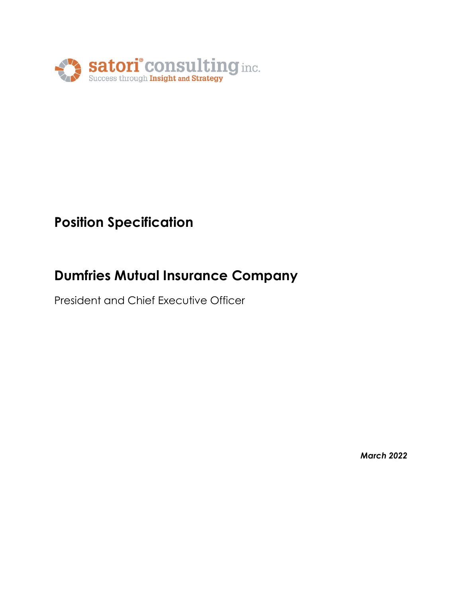

# **Position Specification**

# **Dumfries Mutual Insurance Company**

President and Chief Executive Officer

*March 2022*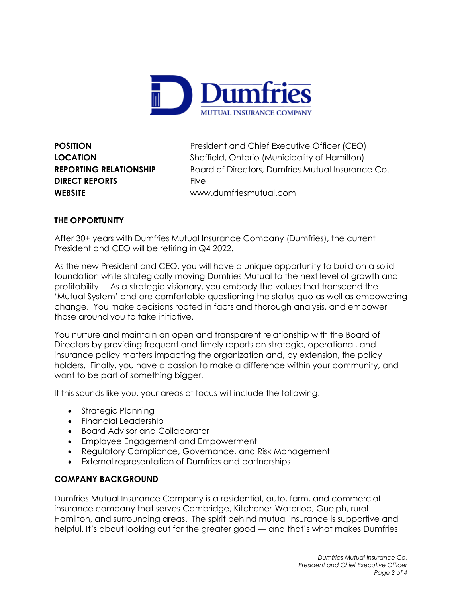

**DIRECT REPORTS** Five

**POSITION** President and Chief Executive Officer (CEO) **LOCATION** Sheffield, Ontario (Municipality of Hamilton) **REPORTING RELATIONSHIP** Board of Directors, Dumfries Mutual Insurance Co. **WEBSITE** www.dumfriesmutual.com

# **THE OPPORTUNITY**

After 30+ years with Dumfries Mutual Insurance Company (Dumfries), the current President and CEO will be retiring in Q4 2022.

As the new President and CEO, you will have a unique opportunity to build on a solid foundation while strategically moving Dumfries Mutual to the next level of growth and profitability. As a strategic visionary, you embody the values that transcend the 'Mutual System' and are comfortable questioning the status quo as well as empowering change. You make decisions rooted in facts and thorough analysis, and empower those around you to take initiative.

You nurture and maintain an open and transparent relationship with the Board of Directors by providing frequent and timely reports on strategic, operational, and insurance policy matters impacting the organization and, by extension, the policy holders. Finally, you have a passion to make a difference within your community, and want to be part of something bigger.

If this sounds like you, your areas of focus will include the following:

- Strategic Planning
- Financial Leadership
- Board Advisor and Collaborator
- Employee Engagement and Empowerment
- Regulatory Compliance, Governance, and Risk Management
- External representation of Dumfries and partnerships

# **COMPANY BACKGROUND**

Dumfries Mutual Insurance Company is a residential, auto, farm, and commercial insurance company that serves Cambridge, Kitchener-Waterloo, Guelph, rural Hamilton, and surrounding areas. The spirit behind mutual insurance is supportive and helpful. It's about looking out for the greater good — and that's what makes Dumfries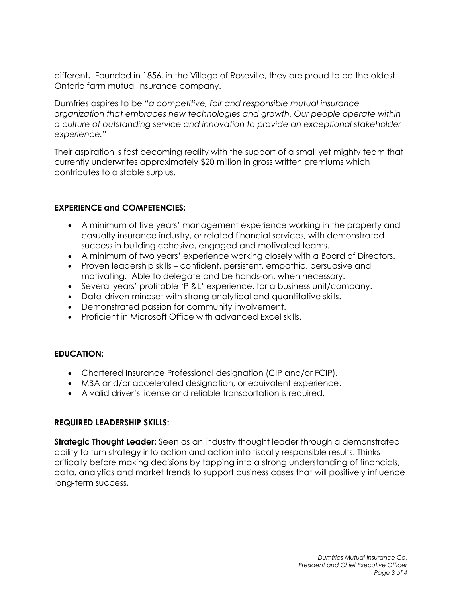different**.** Founded in 1856, in the Village of Roseville, they are proud to be the oldest Ontario farm mutual insurance company.

Dumfries aspires to be *"a competitive, fair and responsible mutual insurance organization that embraces new technologies and growth. Our people operate within a culture of outstanding service and innovation to provide an exceptional stakeholder experience."*

Their aspiration is fast becoming reality with the support of a small yet mighty team that currently underwrites approximately \$20 million in gross written premiums which contributes to a stable surplus.

### **EXPERIENCE and COMPETENCIES:**

- A minimum of five years' management experience working in the property and casualty insurance industry, or related financial services, with demonstrated success in building cohesive, engaged and motivated teams.
- A minimum of two years' experience working closely with a Board of Directors.
- Proven leadership skills confident, persistent, empathic, persuasive and motivating. Able to delegate and be hands-on, when necessary.
- Several years' profitable 'P &L' experience, for a business unit/company.
- Data-driven mindset with strong analytical and quantitative skills.
- Demonstrated passion for community involvement.
- Proficient in Microsoft Office with advanced Excel skills.

#### **EDUCATION:**

- Chartered Insurance Professional designation (CIP and/or FCIP).
- MBA and/or accelerated designation, or equivalent experience.
- A valid driver's license and reliable transportation is required.

#### **REQUIRED LEADERSHIP SKILLS:**

**Strategic Thought Leader:** Seen as an industry thought leader through a demonstrated ability to turn strategy into action and action into fiscally responsible results. Thinks critically before making decisions by tapping into a strong understanding of financials, data, analytics and market trends to support business cases that will positively influence long-term success.